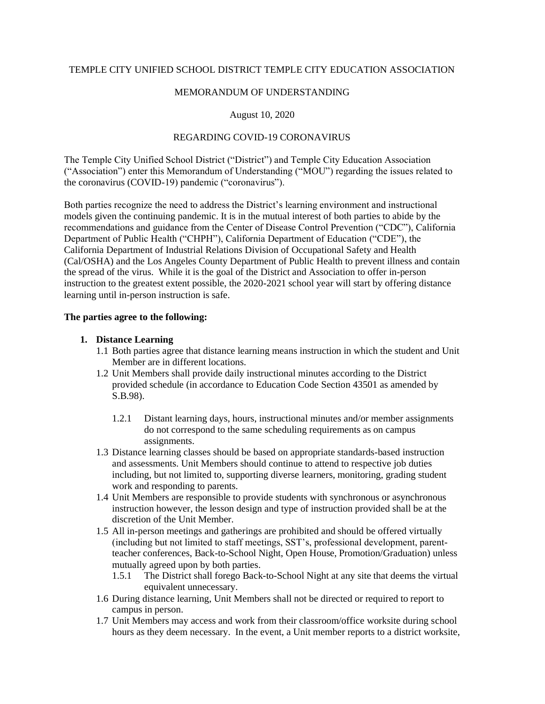# TEMPLE CITY UNIFIED SCHOOL DISTRICT TEMPLE CITY EDUCATION ASSOCIATION

#### MEMORANDUM OF UNDERSTANDING

# August 10, 2020

# REGARDING COVID-19 CORONAVIRUS

The Temple City Unified School District ("District") and Temple City Education Association ("Association") enter this Memorandum of Understanding ("MOU") regarding the issues related to the coronavirus (COVID-19) pandemic ("coronavirus").

Both parties recognize the need to address the District's learning environment and instructional models given the continuing pandemic. It is in the mutual interest of both parties to abide by the recommendations and guidance from the Center of Disease Control Prevention ("CDC"), California Department of Public Health ("CHPH"), California Department of Education ("CDE"), the California Department of Industrial Relations Division of Occupational Safety and Health (Cal/OSHA) and the Los Angeles County Department of Public Health to prevent illness and contain the spread of the virus. While it is the goal of the District and Association to offer in-person instruction to the greatest extent possible, the 2020-2021 school year will start by offering distance learning until in-person instruction is safe.

#### **The parties agree to the following:**

#### **1. Distance Learning**

- 1.1 Both parties agree that distance learning means instruction in which the student and Unit Member are in different locations.
- 1.2 Unit Members shall provide daily instructional minutes according to the District provided schedule (in accordance to Education Code Section 43501 as amended by S.B.98).
	- 1.2.1 Distant learning days, hours, instructional minutes and/or member assignments do not correspond to the same scheduling requirements as on campus assignments.
- 1.3 Distance learning classes should be based on appropriate standards-based instruction and assessments. Unit Members should continue to attend to respective job duties including, but not limited to, supporting diverse learners, monitoring, grading student work and responding to parents.
- 1.4 Unit Members are responsible to provide students with synchronous or asynchronous instruction however, the lesson design and type of instruction provided shall be at the discretion of the Unit Member.
- 1.5 All in-person meetings and gatherings are prohibited and should be offered virtually (including but not limited to staff meetings, SST's, professional development, parentteacher conferences, Back-to-School Night, Open House, Promotion/Graduation) unless mutually agreed upon by both parties.
	- 1.5.1 The District shall forego Back-to-School Night at any site that deems the virtual equivalent unnecessary.
- 1.6 During distance learning, Unit Members shall not be directed or required to report to campus in person.
- 1.7 Unit Members may access and work from their classroom/office worksite during school hours as they deem necessary. In the event, a Unit member reports to a district worksite,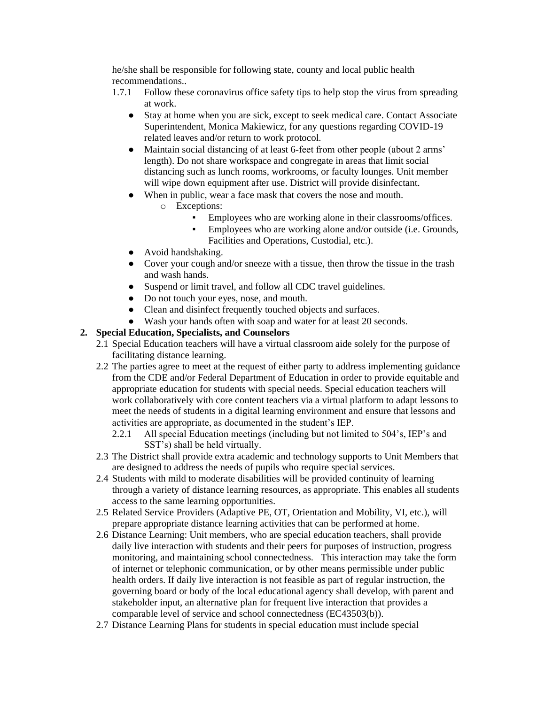he/she shall be responsible for following state, county and local public health recommendations..

- 1.7.1 Follow these coronavirus office safety tips to help stop the virus from spreading at work.
	- Stay at home when you are sick, except to seek medical care. Contact Associate Superintendent, Monica Makiewicz, for any questions regarding COVID-19 related leaves and/or return to work protocol.
	- Maintain social distancing of at least 6-feet from other people (about 2 arms' length). Do not share workspace and congregate in areas that limit social distancing such as lunch rooms, workrooms, or faculty lounges. Unit member will wipe down equipment after use. District will provide disinfectant.
	- When in public, wear a face mask that covers the nose and mouth.
		- o Exceptions:
			- Employees who are working alone in their classrooms/offices.
			- **Employees who are working alone and/or outside (i.e. Grounds,** Facilities and Operations, Custodial, etc.).
	- Avoid handshaking.
	- Cover your cough and/or sneeze with a tissue, then throw the tissue in the trash and wash hands.
	- Suspend or limit travel, and follow all CDC travel guidelines.
	- Do not touch your eyes, nose, and mouth.
	- Clean and disinfect frequently touched objects and surfaces.
- Wash your hands often with soap and water for at least 20 seconds.

# **2. Special Education, Specialists, and Counselors**

- 2.1 Special Education teachers will have a virtual classroom aide solely for the purpose of facilitating distance learning.
- 2.2 The parties agree to meet at the request of either party to address implementing guidance from the CDE and/or Federal Department of Education in order to provide equitable and appropriate education for students with special needs. Special education teachers will work collaboratively with core content teachers via a virtual platform to adapt lessons to meet the needs of students in a digital learning environment and ensure that lessons and activities are appropriate, as documented in the student's IEP.
	- 2.2.1 All special Education meetings (including but not limited to 504's, IEP's and SST's) shall be held virtually.
- 2.3 The District shall provide extra academic and technology supports to Unit Members that are designed to address the needs of pupils who require special services.
- 2.4 Students with mild to moderate disabilities will be provided continuity of learning through a variety of distance learning resources, as appropriate. This enables all students access to the same learning opportunities.
- 2.5 Related Service Providers (Adaptive PE, OT, Orientation and Mobility, VI, etc.), will prepare appropriate distance learning activities that can be performed at home.
- 2.6 Distance Learning: Unit members, who are special education teachers, shall provide daily live interaction with students and their peers for purposes of instruction, progress monitoring, and maintaining school connectedness. This interaction may take the form of internet or telephonic communication, or by other means permissible under public health orders. If daily live interaction is not feasible as part of regular instruction, the governing board or body of the local educational agency shall develop, with parent and stakeholder input, an alternative plan for frequent live interaction that provides a comparable level of service and school connectedness (EC43503(b)).
- 2.7 Distance Learning Plans for students in special education must include special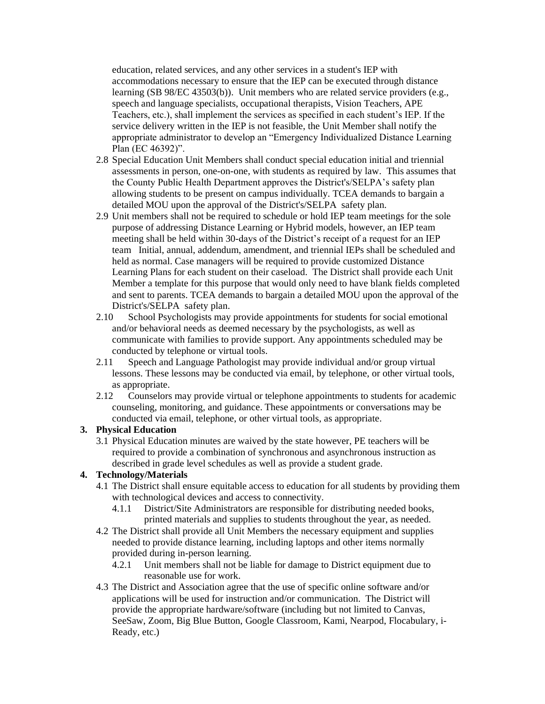education, related services, and any other services in a student's IEP with accommodations necessary to ensure that the IEP can be executed through distance learning (SB 98/EC 43503(b)). Unit members who are related service providers (e.g., speech and language specialists, occupational therapists, Vision Teachers, APE Teachers, etc.), shall implement the services as specified in each student's IEP. If the service delivery written in the IEP is not feasible, the Unit Member shall notify the appropriate administrator to develop an "Emergency Individualized Distance Learning Plan (EC 46392)".

- 2.8 Special Education Unit Members shall conduct special education initial and triennial assessments in person, one-on-one, with students as required by law. This assumes that the County Public Health Department approves the District's/SELPA's safety plan allowing students to be present on campus individually. TCEA demands to bargain a detailed MOU upon the approval of the District's/SELPA safety plan.
- 2.9 Unit members shall not be required to schedule or hold IEP team meetings for the sole purpose of addressing Distance Learning or Hybrid models, however, an IEP team meeting shall be held within 30-days of the District's receipt of a request for an IEP team Initial, annual, addendum, amendment, and triennial IEPs shall be scheduled and held as normal. Case managers will be required to provide customized Distance Learning Plans for each student on their caseload. The District shall provide each Unit Member a template for this purpose that would only need to have blank fields completed and sent to parents. TCEA demands to bargain a detailed MOU upon the approval of the District's/SELPA safety plan.
- 2.10 School Psychologists may provide appointments for students for social emotional and/or behavioral needs as deemed necessary by the psychologists, as well as communicate with families to provide support. Any appointments scheduled may be conducted by telephone or virtual tools.
- 2.11 Speech and Language Pathologist may provide individual and/or group virtual lessons. These lessons may be conducted via email, by telephone, or other virtual tools, as appropriate.
- 2.12 Counselors may provide virtual or telephone appointments to students for academic counseling, monitoring, and guidance. These appointments or conversations may be conducted via email, telephone, or other virtual tools, as appropriate.

# **3. Physical Education**

3.1 Physical Education minutes are waived by the state however, PE teachers will be required to provide a combination of synchronous and asynchronous instruction as described in grade level schedules as well as provide a student grade.

# **4. Technology/Materials**

- 4.1 The District shall ensure equitable access to education for all students by providing them with technological devices and access to connectivity.
	- 4.1.1 District/Site Administrators are responsible for distributing needed books, printed materials and supplies to students throughout the year, as needed.
- 4.2 The District shall provide all Unit Members the necessary equipment and supplies needed to provide distance learning, including laptops and other items normally provided during in-person learning.
	- 4.2.1 Unit members shall not be liable for damage to District equipment due to reasonable use for work.
- 4.3 The District and Association agree that the use of specific online software and/or applications will be used for instruction and/or communication. The District will provide the appropriate hardware/software (including but not limited to Canvas, SeeSaw, Zoom, Big Blue Button, Google Classroom, Kami, Nearpod, Flocabulary, i-Ready, etc.)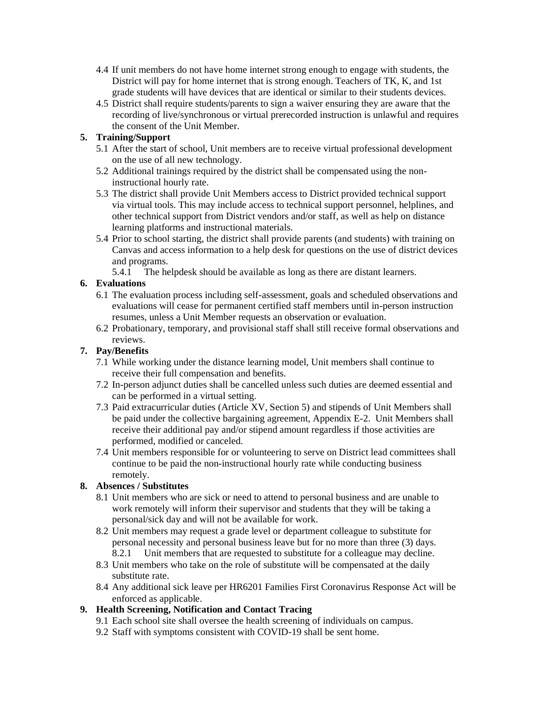- 4.4 If unit members do not have home internet strong enough to engage with students, the District will pay for home internet that is strong enough. Teachers of TK, K, and 1st grade students will have devices that are identical or similar to their students devices.
- 4.5 District shall require students/parents to sign a waiver ensuring they are aware that the recording of live/synchronous or virtual prerecorded instruction is unlawful and requires the consent of the Unit Member.

# **5. Training/Support**

- 5.1 After the start of school, Unit members are to receive virtual professional development on the use of all new technology.
- 5.2 Additional trainings required by the district shall be compensated using the noninstructional hourly rate.
- 5.3 The district shall provide Unit Members access to District provided technical support via virtual tools. This may include access to technical support personnel, helplines, and other technical support from District vendors and/or staff, as well as help on distance learning platforms and instructional materials.
- 5.4 Prior to school starting, the district shall provide parents (and students) with training on Canvas and access information to a help desk for questions on the use of district devices and programs.
	- 5.4.1 The helpdesk should be available as long as there are distant learners.

# **6. Evaluations**

- 6.1 The evaluation process including self-assessment, goals and scheduled observations and evaluations will cease for permanent certified staff members until in-person instruction resumes, unless a Unit Member requests an observation or evaluation.
- 6.2 Probationary, temporary, and provisional staff shall still receive formal observations and reviews.

# **7. Pay/Benefits**

- 7.1 While working under the distance learning model, Unit members shall continue to receive their full compensation and benefits.
- 7.2 In-person adjunct duties shall be cancelled unless such duties are deemed essential and can be performed in a virtual setting.
- 7.3 Paid extracurricular duties (Article XV, Section 5) and stipends of Unit Members shall be paid under the collective bargaining agreement, Appendix E-2. Unit Members shall receive their additional pay and/or stipend amount regardless if those activities are performed, modified or canceled.
- 7.4 Unit members responsible for or volunteering to serve on District lead committees shall continue to be paid the non-instructional hourly rate while conducting business remotely.

# **8. Absences / Substitutes**

- 8.1 Unit members who are sick or need to attend to personal business and are unable to work remotely will inform their supervisor and students that they will be taking a personal/sick day and will not be available for work.
- 8.2 Unit members may request a grade level or department colleague to substitute for personal necessity and personal business leave but for no more than three (3) days. 8.2.1 Unit members that are requested to substitute for a colleague may decline.
- 8.3 Unit members who take on the role of substitute will be compensated at the daily substitute rate.
- 8.4 Any additional sick leave per HR6201 Families First Coronavirus Response Act will be enforced as applicable.

# **9. Health Screening, Notification and Contact Tracing**

- 9.1 Each school site shall oversee the health screening of individuals on campus.
- 9.2 Staff with symptoms consistent with COVID-19 shall be sent home.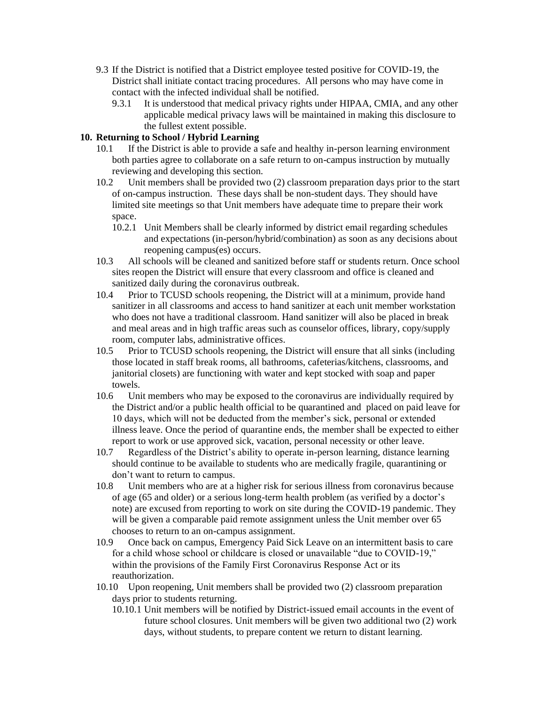- 9.3 If the District is notified that a District employee tested positive for COVID-19, the District shall initiate contact tracing procedures. All persons who may have come in contact with the infected individual shall be notified.
	- 9.3.1 It is understood that medical privacy rights under HIPAA, CMIA, and any other applicable medical privacy laws will be maintained in making this disclosure to the fullest extent possible.

# **10. Returning to School / Hybrid Learning**

- 10.1 If the District is able to provide a safe and healthy in-person learning environment both parties agree to collaborate on a safe return to on-campus instruction by mutually reviewing and developing this section.
- 10.2 Unit members shall be provided two (2) classroom preparation days prior to the start of on-campus instruction. These days shall be non-student days. They should have limited site meetings so that Unit members have adequate time to prepare their work space.
	- 10.2.1 Unit Members shall be clearly informed by district email regarding schedules and expectations (in-person/hybrid/combination) as soon as any decisions about reopening campus(es) occurs.
- 10.3 All schools will be cleaned and sanitized before staff or students return. Once school sites reopen the District will ensure that every classroom and office is cleaned and sanitized daily during the coronavirus outbreak.
- 10.4 Prior to TCUSD schools reopening, the District will at a minimum, provide hand sanitizer in all classrooms and access to hand sanitizer at each unit member workstation who does not have a traditional classroom. Hand sanitizer will also be placed in break and meal areas and in high traffic areas such as counselor offices, library, copy/supply room, computer labs, administrative offices.
- 10.5 Prior to TCUSD schools reopening, the District will ensure that all sinks (including those located in staff break rooms, all bathrooms, cafeterias/kitchens, classrooms, and janitorial closets) are functioning with water and kept stocked with soap and paper towels.
- 10.6 Unit members who may be exposed to the coronavirus are individually required by the District and/or a public health official to be quarantined and placed on paid leave for 10 days, which will not be deducted from the member's sick, personal or extended illness leave. Once the period of quarantine ends, the member shall be expected to either report to work or use approved sick, vacation, personal necessity or other leave.
- 10.7 Regardless of the District's ability to operate in-person learning, distance learning should continue to be available to students who are medically fragile, quarantining or don't want to return to campus.
- 10.8 Unit members who are at a higher risk for serious illness from coronavirus because of age (65 and older) or a serious long-term health problem (as verified by a doctor's note) are excused from reporting to work on site during the COVID-19 pandemic. They will be given a comparable paid remote assignment unless the Unit member over 65 chooses to return to an on-campus assignment.
- 10.9 Once back on campus, Emergency Paid Sick Leave on an intermittent basis to care for a child whose school or childcare is closed or unavailable "due to COVID-19," within the provisions of the Family First Coronavirus Response Act or its reauthorization.
- 10.10 Upon reopening, Unit members shall be provided two (2) classroom preparation days prior to students returning.
	- 10.10.1 Unit members will be notified by District-issued email accounts in the event of future school closures. Unit members will be given two additional two (2) work days, without students, to prepare content we return to distant learning.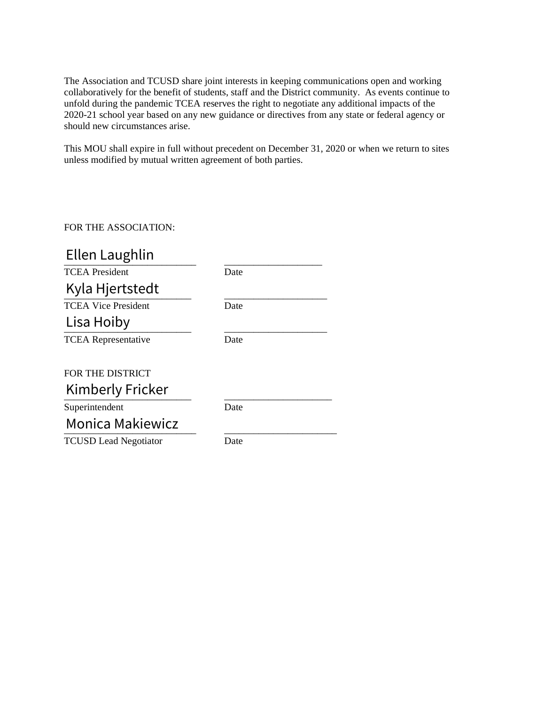The Association and TCUSD share joint interests in keeping communications open and working collaboratively for the benefit of students, staff and the District community. As events continue to unfold during the pandemic TCEA reserves the right to negotiate any additional impacts of the 2020-21 school year based on any new guidance or directives from any state or federal agency or should new circumstances arise.

This MOU shall expire in full without precedent on December 31, 2020 or when we return to sites unless modified by mutual written agreement of both parties.

# FOR THE ASSOCIATION:

| Date |
|------|
|      |
| Date |
|      |
| Date |
|      |
|      |
|      |
| Date |
|      |